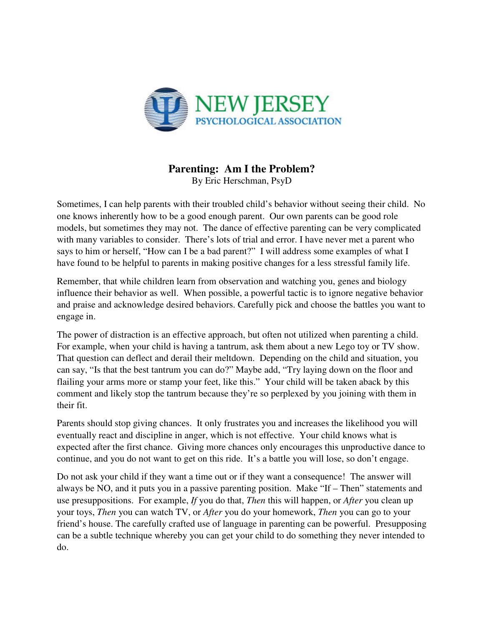

## **Parenting: Am I the Problem?**

By Eric Herschman, PsyD

Sometimes, I can help parents with their troubled child's behavior without seeing their child. No one knows inherently how to be a good enough parent. Our own parents can be good role models, but sometimes they may not. The dance of effective parenting can be very complicated with many variables to consider. There's lots of trial and error. I have never met a parent who says to him or herself, "How can I be a bad parent?" I will address some examples of what I have found to be helpful to parents in making positive changes for a less stressful family life.

Remember, that while children learn from observation and watching you, genes and biology influence their behavior as well. When possible, a powerful tactic is to ignore negative behavior and praise and acknowledge desired behaviors. Carefully pick and choose the battles you want to engage in.

The power of distraction is an effective approach, but often not utilized when parenting a child. For example, when your child is having a tantrum, ask them about a new Lego toy or TV show. That question can deflect and derail their meltdown. Depending on the child and situation, you can say, "Is that the best tantrum you can do?" Maybe add, "Try laying down on the floor and flailing your arms more or stamp your feet, like this." Your child will be taken aback by this comment and likely stop the tantrum because they're so perplexed by you joining with them in their fit.

Parents should stop giving chances. It only frustrates you and increases the likelihood you will eventually react and discipline in anger, which is not effective. Your child knows what is expected after the first chance. Giving more chances only encourages this unproductive dance to continue, and you do not want to get on this ride. It's a battle you will lose, so don't engage.

Do not ask your child if they want a time out or if they want a consequence! The answer will always be NO, and it puts you in a passive parenting position. Make "If – Then" statements and use presuppositions. For example, *If* you do that, *Then* this will happen, or *After* you clean up your toys, *Then* you can watch TV, or *After* you do your homework, *Then* you can go to your friend's house. The carefully crafted use of language in parenting can be powerful. Presupposing can be a subtle technique whereby you can get your child to do something they never intended to do.